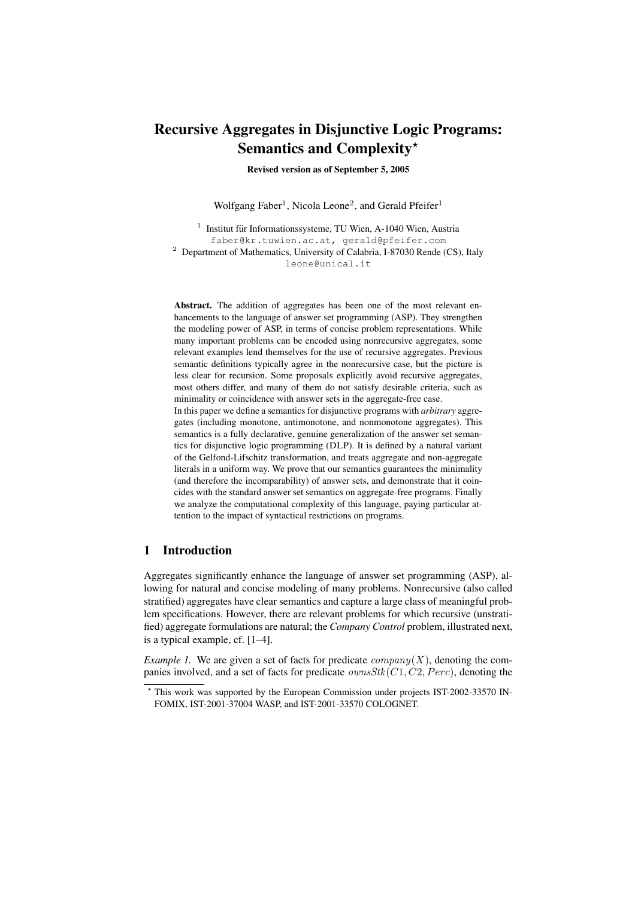# **Recursive Aggregates in Disjunctive Logic Programs: Semantics and Complexity**?

**Revised version as of September 5, 2005**

Wolfgang Faber<sup>1</sup>, Nicola Leone<sup>2</sup>, and Gerald Pfeifer<sup>1</sup>

<sup>1</sup> Institut für Informationssysteme, TU Wien, A-1040 Wien, Austria faber@kr.tuwien.ac.at, gerald@pfeifer.com <sup>2</sup> Department of Mathematics, University of Calabria, I-87030 Rende (CS), Italy leone@unical.it

Abstract. The addition of aggregates has been one of the most relevant enhancements to the language of answer set programming (ASP). They strengthen the modeling power of ASP, in terms of concise problem representations. While many important problems can be encoded using nonrecursive aggregates, some relevant examples lend themselves for the use of recursive aggregates. Previous semantic definitions typically agree in the nonrecursive case, but the picture is less clear for recursion. Some proposals explicitly avoid recursive aggregates, most others differ, and many of them do not satisfy desirable criteria, such as minimality or coincidence with answer sets in the aggregate-free case. In this paper we define a semantics for disjunctive programs with *arbitrary* aggregates (including monotone, antimonotone, and nonmonotone aggregates). This semantics is a fully declarative, genuine generalization of the answer set semantics for disjunctive logic programming (DLP). It is defined by a natural variant of the Gelfond-Lifschitz transformation, and treats aggregate and non-aggregate literals in a uniform way. We prove that our semantics guarantees the minimality (and therefore the incomparability) of answer sets, and demonstrate that it coincides with the standard answer set semantics on aggregate-free programs. Finally we analyze the computational complexity of this language, paying particular attention to the impact of syntactical restrictions on programs.

## **1 Introduction**

Aggregates significantly enhance the language of answer set programming (ASP), allowing for natural and concise modeling of many problems. Nonrecursive (also called stratified) aggregates have clear semantics and capture a large class of meaningful problem specifications. However, there are relevant problems for which recursive (unstratified) aggregate formulations are natural; the *Company Control* problem, illustrated next, is a typical example, cf. [1–4].

*Example 1.* We are given a set of facts for predicate  $company(X)$ , denoting the companies involved, and a set of facts for predicate  $ownsStk(C1, C2, Perc)$ , denoting the

<sup>?</sup> This work was supported by the European Commission under projects IST-2002-33570 IN-FOMIX, IST-2001-37004 WASP, and IST-2001-33570 COLOGNET.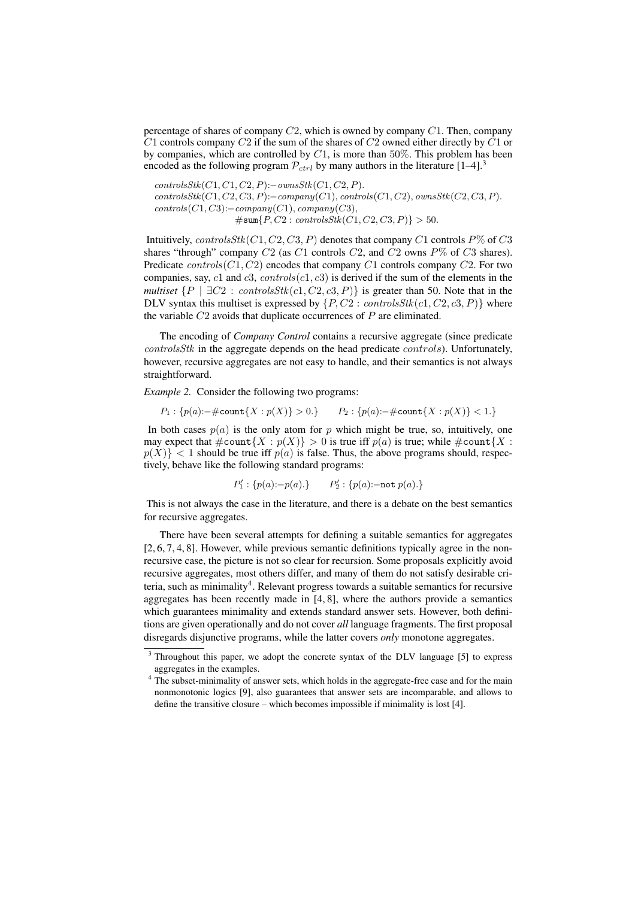percentage of shares of company  $C2$ , which is owned by company  $C1$ . Then, company C1 controls company C2 if the sum of the shares of C2 owned either directly by C1 or by companies, which are controlled by  $C1$ , is more than 50%. This problem has been encoded as the following program  $\mathcal{P}_{ctrl}$  by many authors in the literature [1–4].<sup>3</sup>

 $controlsStk(C1, C1, C2, P):-ownsStk(C1, C2, P).$  $controlsStk(C1, C2, C3, P):-company(C1), controls(C1, C2), ownsStk(C2, C3, P).$  $controls(C1, C3):-company(C1), company(C3),$  $#sum{P, C2 : controlsStk(C1, C2, C3, P)} > 50.$ 

Intuitively, controls  $Stk(C1, C2, C3, P)$  denotes that company C1 controls  $P\%$  of C3 shares "through" company  $C2$  (as  $C1$  controls  $C2$ , and  $C2$  owns  $P\%$  of  $C3$  shares). Predicate  $controls(C1, C2)$  encodes that company  $C1$  controls company  $C2$ . For two companies, say, c1 and c3,  $controls(c1, c3)$  is derived if the sum of the elements in the *multiset*  $\{P \mid \exists C2 : controlsStk(c1, C2, c3, P)\}$  is greater than 50. Note that in the DLV syntax this multiset is expressed by  $\{P, C2 : controlsStk(c1, C2, c3, P)\}$  where the variable  $C2$  avoids that duplicate occurrences of  $P$  are eliminated.

The encoding of *Company Control* contains a recursive aggregate (since predicate controlsStk in the aggregate depends on the head predicate controls). Unfortunately, however, recursive aggregates are not easy to handle, and their semantics is not always straightforward.

*Example 2.* Consider the following two programs:

 $P_1: \{p(a):=\#\text{count}\{X:p(X)\}>0.\}$   $P_2: \{p(a):=\#\text{count}\{X:p(X)\}<1.\}$ 

In both cases  $p(a)$  is the only atom for p which might be true, so, intuitively, one may expect that  $\#\text{count}\{X : p(X)\} > 0$  is true iff  $p(a)$  is true; while  $\#\text{count}\{X : p(X)\} > 0$  $p(X)$  < 1 should be true iff  $p(a)$  is false. Thus, the above programs should, respectively, behave like the following standard programs:

 $P'_1: \{p(a):=p(a).\}$   $P'_2: \{p(a):=n \text{ot } p(a).\}$ 

This is not always the case in the literature, and there is a debate on the best semantics for recursive aggregates.

There have been several attempts for defining a suitable semantics for aggregates [2, 6, 7, 4, 8]. However, while previous semantic definitions typically agree in the nonrecursive case, the picture is not so clear for recursion. Some proposals explicitly avoid recursive aggregates, most others differ, and many of them do not satisfy desirable criteria, such as minimality<sup>4</sup>. Relevant progress towards a suitable semantics for recursive aggregates has been recently made in [4, 8], where the authors provide a semantics which guarantees minimality and extends standard answer sets. However, both definitions are given operationally and do not cover *all* language fragments. The first proposal disregards disjunctive programs, while the latter covers *only* monotone aggregates.

<sup>3</sup> Throughout this paper, we adopt the concrete syntax of the DLV language [5] to express aggregates in the examples.

<sup>&</sup>lt;sup>4</sup> The subset-minimality of answer sets, which holds in the aggregate-free case and for the main nonmonotonic logics [9], also guarantees that answer sets are incomparable, and allows to define the transitive closure – which becomes impossible if minimality is lost [4].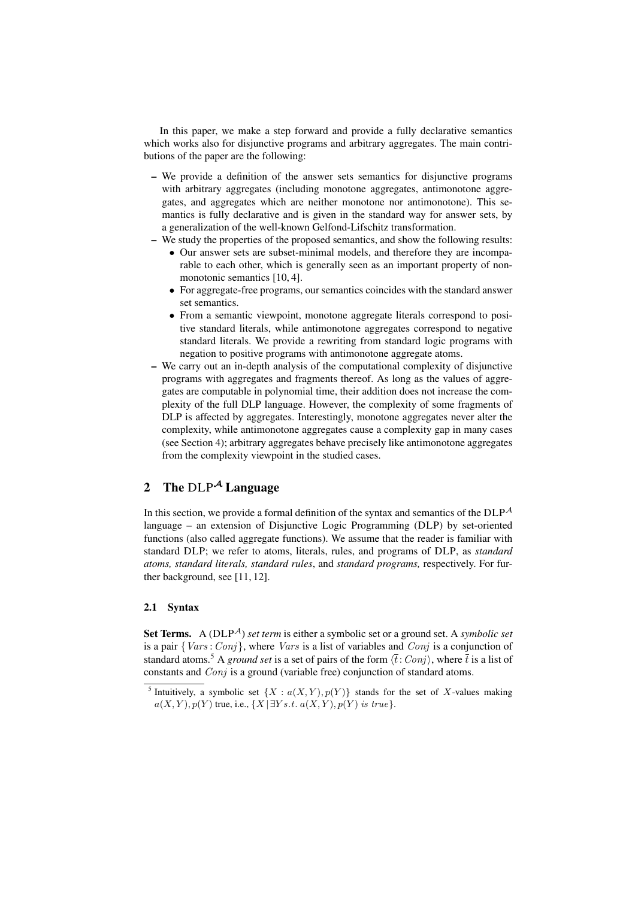In this paper, we make a step forward and provide a fully declarative semantics which works also for disjunctive programs and arbitrary aggregates. The main contributions of the paper are the following:

- **–** We provide a definition of the answer sets semantics for disjunctive programs with arbitrary aggregates (including monotone aggregates, antimonotone aggregates, and aggregates which are neither monotone nor antimonotone). This semantics is fully declarative and is given in the standard way for answer sets, by a generalization of the well-known Gelfond-Lifschitz transformation.
- **–** We study the properties of the proposed semantics, and show the following results:
	- Our answer sets are subset-minimal models, and therefore they are incomparable to each other, which is generally seen as an important property of nonmonotonic semantics [10, 4].
	- For aggregate-free programs, our semantics coincides with the standard answer set semantics.
	- From a semantic viewpoint, monotone aggregate literals correspond to positive standard literals, while antimonotone aggregates correspond to negative standard literals. We provide a rewriting from standard logic programs with negation to positive programs with antimonotone aggregate atoms.
- **–** We carry out an in-depth analysis of the computational complexity of disjunctive programs with aggregates and fragments thereof. As long as the values of aggregates are computable in polynomial time, their addition does not increase the complexity of the full DLP language. However, the complexity of some fragments of DLP is affected by aggregates. Interestingly, monotone aggregates never alter the complexity, while antimonotone aggregates cause a complexity gap in many cases (see Section 4); arbitrary aggregates behave precisely like antimonotone aggregates from the complexity viewpoint in the studied cases.

## **2 The** DLP <sup>A</sup> **Language**

In this section, we provide a formal definition of the syntax and semantics of the  $DLP^{\mathcal{A}}$ language – an extension of Disjunctive Logic Programming (DLP) by set-oriented functions (also called aggregate functions). We assume that the reader is familiar with standard DLP; we refer to atoms, literals, rules, and programs of DLP, as *standard atoms, standard literals, standard rules*, and *standard programs,* respectively. For further background, see [11, 12].

## **2.1 Syntax**

**Set Terms.** A (DLP <sup>A</sup>) *set term* is either a symbolic set or a ground set. A *symbolic set* is a pair  $\{Vars:Conj\}$ , where *Vars* is a list of variables and *Conj* is a conjunction of standard atoms.<sup>5</sup> A *ground set* is a set of pairs of the form  $\langle \overline{t}:Conj \rangle$ , where  $\overline{t}$  is a list of constants and *Conj* is a ground (variable free) conjunction of standard atoms.

<sup>&</sup>lt;sup>5</sup> Intuitively, a symbolic set  $\{X : a(X, Y), p(Y)\}$  stands for the set of X-values making  $a(X, Y), p(Y)$  true, i.e.,  $\{X \mid \exists Y s.t. a(X, Y), p(Y)$  is true.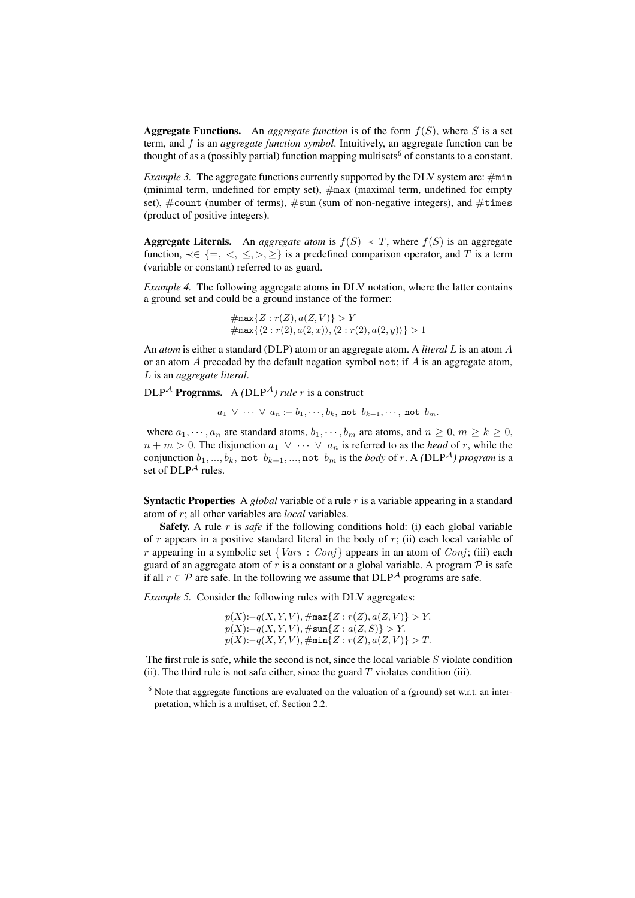**Aggregate Functions.** An *aggregate function* is of the form  $f(S)$ , where S is a set term, and f is an *aggregate function symbol*. Intuitively, an aggregate function can be thought of as a (possibly partial) function mapping multisets<sup>6</sup> of constants to a constant.

*Example* 3. The aggregate functions currently supported by the DLV system are:  $\#min$ (minimal term, undefined for empty set), #max (maximal term, undefined for empty set),  $\#$ count (number of terms),  $\#$ sum (sum of non-negative integers), and  $\#$ times (product of positive integers).

**Aggregate Literals.** An *aggregate atom* is  $f(S) \prec T$ , where  $f(S)$  is an aggregate function,  $\prec \in \{ =, <, \leq, >, \geq \}$  is a predefined comparison operator, and T is a term (variable or constant) referred to as guard.

*Example 4.* The following aggregate atoms in DLV notation, where the latter contains a ground set and could be a ground instance of the former:

> $\#\max\{Z : r(Z), a(Z, V)\} > Y$  $\{\max\{\langle 2 : r(2), a(2, x) \rangle, \langle 2 : r(2), a(2, y) \rangle\} > 1$

An *atom* is either a standard (DLP) atom or an aggregate atom. A *literal* L is an atom A or an atom  $A$  preceded by the default negation symbol not; if  $A$  is an aggregate atom, L is an *aggregate literal*.

 $DLP^{\mathcal{A}}$  **Programs.** A *(DLP<sup>A</sup>) rule r* is a construct

 $a_1 \vee \cdots \vee a_n := b_1, \cdots, b_k$ , not  $b_{k+1}, \cdots$ , not  $b_m$ .

where  $a_1, \dots, a_n$  are standard atoms,  $b_1, \dots, b_m$  are atoms, and  $n \ge 0, m \ge k \ge 0$ ,  $n + m > 0$ . The disjunction  $a_1 \vee \cdots \vee a_n$  is referred to as the *head* of r, while the conjunction  $b_1, ..., b_k$ , not  $b_{k+1}, ...,$  not  $b_m$  is the *body* of r. A *(DLP<sup>A</sup>) program* is a set of  $DLP^{\mathcal{A}}$  rules.

**Syntactic Properties** A *global* variable of a rule r is a variable appearing in a standard atom of r; all other variables are *local* variables.

**Safety.** A rule r is *safe* if the following conditions hold: (i) each global variable of  $r$  appears in a positive standard literal in the body of  $r$ ; (ii) each local variable of r appearing in a symbolic set  $\{Vars: Conj\}$  appears in an atom of  $Conj$ ; (iii) each guard of an aggregate atom of  $r$  is a constant or a global variable. A program  $P$  is safe if all  $r \in \mathcal{P}$  are safe. In the following we assume that  $DLP^{\mathcal{A}}$  programs are safe.

*Example 5.* Consider the following rules with DLV aggregates:

 $p(X)$ :−q(X, Y, V),  $\#max{Z : r(Z), a(Z, V)} > Y$ .  $p(X)$ :−q(X, Y, V), #sum{Z :  $a(Z, S)$ } > Y.  $p(X):-q(X, Y, V), \#min{Z : r(Z), a(Z, V)} > T.$ 

The first rule is safe, while the second is not, since the local variable  $S$  violate condition (ii). The third rule is not safe either, since the guard  $T$  violates condition (iii).

<sup>&</sup>lt;sup>6</sup> Note that aggregate functions are evaluated on the valuation of a (ground) set w.r.t. an interpretation, which is a multiset, cf. Section 2.2.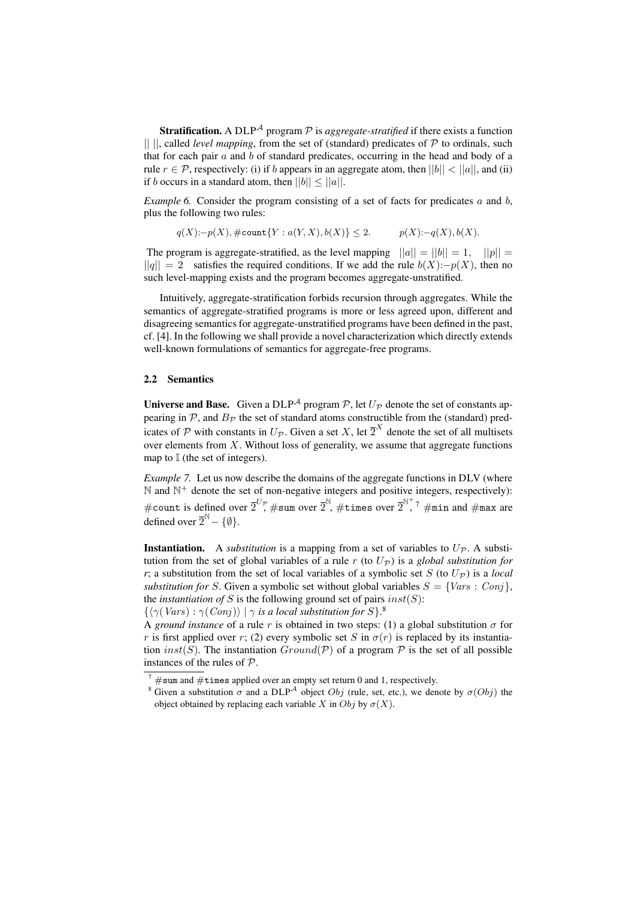**Stratification.** A DLP<sup>A</sup> program  $P$  is *aggregate-stratified* if there exists a function || ||, called *level mapping*, from the set of (standard) predicates of P to ordinals, such that for each pair  $a$  and  $b$  of standard predicates, occurring in the head and body of a rule  $r \in \mathcal{P}$ , respectively: (i) if b appears in an aggregate atom, then  $||b|| < ||a||$ , and (ii) if b occurs in a standard atom, then  $||b|| < ||a||$ .

*Example* 6. Consider the program consisting of a set of facts for predicates a and b, plus the following two rules:

$$
q(X) := p(X), \# \text{count}\{Y : a(Y, X), b(X)\} \le 2. \qquad p(X) := q(X), b(X).
$$

The program is aggregate-stratified, as the level mapping  $||a|| = ||b|| = 1$ ,  $||p|| = 1$  $||q|| = 2$  satisfies the required conditions. If we add the rule  $b(X): -p(X)$ , then no such level-mapping exists and the program becomes aggregate-unstratified.

Intuitively, aggregate-stratification forbids recursion through aggregates. While the semantics of aggregate-stratified programs is more or less agreed upon, different and disagreeing semantics for aggregate-unstratified programs have been defined in the past, cf. [4]. In the following we shall provide a novel characterization which directly extends well-known formulations of semantics for aggregate-free programs.

### **2.2 Semantics**

**Universe and Base.** Given a DLP<sup>A</sup> program  $P$ , let  $U_P$  denote the set of constants appearing in  $P$ , and  $B_P$  the set of standard atoms constructible from the (standard) predicates of P with constants in  $U_{\mathcal{P}}$ . Given a set X, let  $\overline{2}^X$  denote the set of all multisets over elements from  $X$ . Without loss of generality, we assume that aggregate functions map to  $\mathbb{I}$  (the set of integers).

*Example* 7. Let us now describe the domains of the aggregate functions in DLV (where  $\mathbb N$  and  $\mathbb N^+$  denote the set of non-negative integers and positive integers, respectively):  $\#$ count is defined over  $\overline{2}^{U_p}$   $\#$ sum over  $\overline{2}^\mathbb{N},$   $\#$ times over  $\overline{2}^{\mathbb{N}^+,7}$   $\#$ min and  $\#$ max are defined over  $\overline{2}^{\mathbb{N}} - \{\emptyset\}.$ 

**Instantiation.** A *substitution* is a mapping from a set of variables to  $U_{\mathcal{P}}$ . A substitution from the set of global variables of a rule  $r$  (to  $U_p$ ) is a *global substitution for r*; a substitution from the set of local variables of a symbolic set S (to  $U_{\mathcal{P}}$ ) is a *local substitution* for S. Given a symbolic set without global variables  $S = \{Vars : Conj\}$ , the *instantiation of*  $S$  is the following ground set of pairs  $inst(S)$ :

 $\{\langle \gamma(\textit{Vars}) : \gamma(\textit{Conj}) \rangle \mid \gamma \textit{ is a local substitution for } S \}$ .

A *ground instance* of a rule r is obtained in two steps: (1) a global substitution  $\sigma$  for r is first applied over r; (2) every symbolic set S in  $\sigma(r)$  is replaced by its instantiation *inst(S)*. The instantiation  $Ground(P)$  of a program P is the set of all possible instances of the rules of P.

 $#sum$  and  $#times$  applied over an empty set return 0 and 1, respectively.

<sup>&</sup>lt;sup>8</sup> Given a substitution  $\sigma$  and a DLP<sup>A</sup> object *Obj* (rule, set, etc.), we denote by  $\sigma(Obj)$  the object obtained by replacing each variable X in Obj by  $\sigma(X)$ .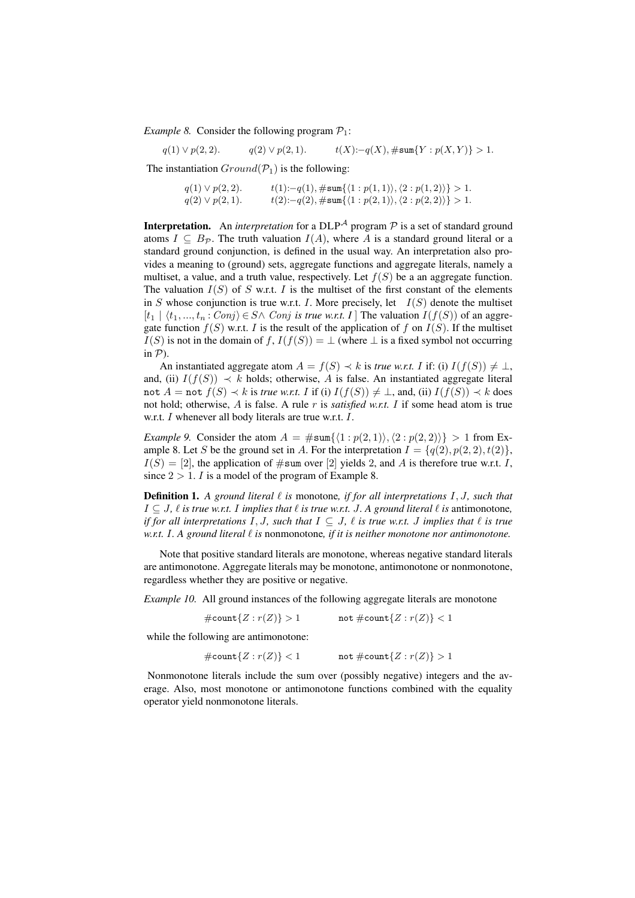*Example* 8. Consider the following program  $P_1$ :

 $q(1) \vee p(2, 2).$   $q(2) \vee p(2, 1).$   $t(X):-q(X), \# \text{sum}\{Y : p(X, Y)\} > 1.$ 

The instantiation  $Ground(\mathcal{P}_1)$  is the following:

$$
q(1) \vee p(2,2). \qquad \qquad t(1):=q(1), \#\text{sum}\{\langle 1:p(1,1)\rangle, \langle 2:p(1,2)\rangle\} > 1.
$$
\n
$$
q(2) \vee p(2,1). \qquad \qquad t(2):=q(2), \#\text{sum}\{\langle 1:p(2,1)\rangle, \langle 2:p(2,2)\rangle\} > 1.
$$

**Interpretation.** An *interpretation* for a  $DLP^{\mathcal{A}}$  program  $\mathcal{P}$  is a set of standard ground atoms  $I \subseteq B_{\mathcal{P}}$ . The truth valuation  $I(A)$ , where A is a standard ground literal or a standard ground conjunction, is defined in the usual way. An interpretation also provides a meaning to (ground) sets, aggregate functions and aggregate literals, namely a multiset, a value, and a truth value, respectively. Let  $f(S)$  be a an aggregate function. The valuation  $I(S)$  of S w.r.t. I is the multiset of the first constant of the elements in S whose conjunction is true w.r.t. I. More precisely, let  $I(S)$  denote the multiset  $[t_1 | (t_1, ..., t_n : Conj) \in S \land Conj$  *is true w.r.t. I* ] The valuation  $I(f(S))$  of an aggregate function  $f(S)$  w.r.t. I is the result of the application of f on  $I(S)$ . If the multiset  $I(S)$  is not in the domain of f,  $I(f(S)) = \bot$  (where  $\bot$  is a fixed symbol not occurring in  $P$ ).

An instantiated aggregate atom  $A = f(S) \prec k$  is *true w.r.t.* I if: (i)  $I(f(S)) \neq \bot$ , and, (ii)  $I(f(S)) \prec k$  holds; otherwise, A is false. An instantiated aggregate literal not  $A =$ not  $f(S) \prec k$  is *true w.r.t.* I if (i)  $I(f(S)) \neq \bot$ , and, (ii)  $I(f(S)) \prec k$  does not hold; otherwise, A is false. A rule r is *satisfied w.r.t.* I if some head atom is true w.r.t. I whenever all body literals are true w.r.t. I.

*Example* 9. Consider the atom  $A = \# \text{sum}\{\langle 1 : p(2, 1) \rangle, \langle 2 : p(2, 2) \rangle\} > 1$  from Example 8. Let S be the ground set in A. For the interpretation  $I = \{q(2), p(2, 2), t(2)\},\$  $I(S) = [2]$ , the application of #sum over [2] yields 2, and A is therefore true w.r.t. I, since  $2 > 1$ . *I* is a model of the program of Example 8.

**Definition 1.** A ground literal  $\ell$  is monotone, if for all interpretations  $I, J$ , such that  $I ⊂ J, \ell$  *is true w.r.t.* I *implies that*  $\ell$  *is true w.r.t.* J. A *ground literal*  $\ell$  *is* antimonotone, *if for* all *interpretations*  $I, J$ *, such that*  $I \subseteq J$ *,*  $\ell$  *is true w.r.t. J implies that*  $\ell$  *is true w.r.t.* I*. A ground literal* ` *is* nonmonotone*, if it is neither monotone nor antimonotone.*

Note that positive standard literals are monotone, whereas negative standard literals are antimonotone. Aggregate literals may be monotone, antimonotone or nonmonotone, regardless whether they are positive or negative.

*Example 10.* All ground instances of the following aggregate literals are monotone

 $\#\text{count}\{Z : r(Z)\} > 1$  not  $\#\text{count}\{Z : r(Z)\} < 1$ 

while the following are antimonotone:

 $\#\text{count}\{Z : r(Z)\} < 1$  not  $\#\text{count}\{Z : r(Z)\} > 1$ 

Nonmonotone literals include the sum over (possibly negative) integers and the average. Also, most monotone or antimonotone functions combined with the equality operator yield nonmonotone literals.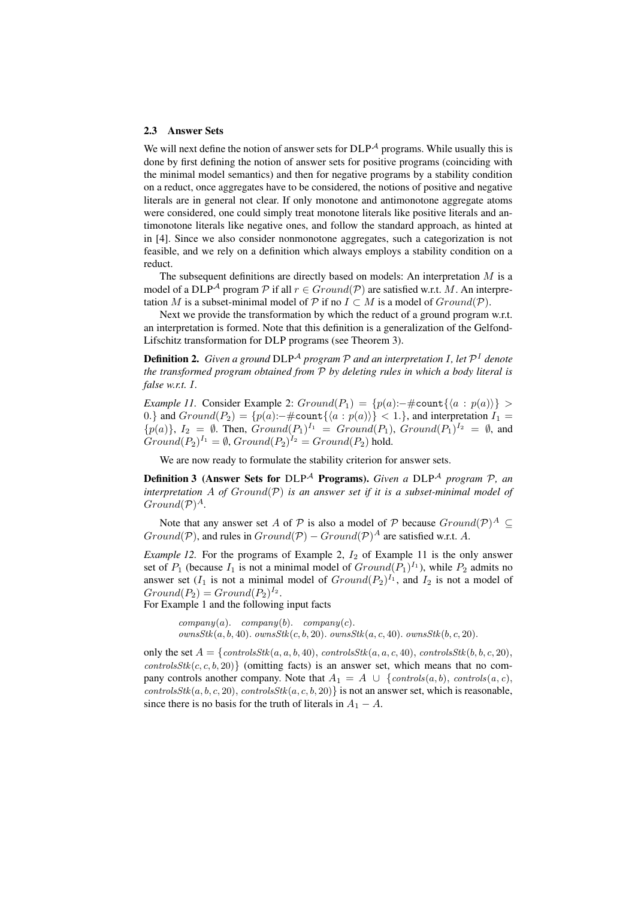#### **2.3 Answer Sets**

We will next define the notion of answer sets for  $DLP^{\mathcal{A}}$  programs. While usually this is done by first defining the notion of answer sets for positive programs (coinciding with the minimal model semantics) and then for negative programs by a stability condition on a reduct, once aggregates have to be considered, the notions of positive and negative literals are in general not clear. If only monotone and antimonotone aggregate atoms were considered, one could simply treat monotone literals like positive literals and antimonotone literals like negative ones, and follow the standard approach, as hinted at in [4]. Since we also consider nonmonotone aggregates, such a categorization is not feasible, and we rely on a definition which always employs a stability condition on a reduct.

The subsequent definitions are directly based on models: An interpretation  $M$  is a model of a DLP<sup>A</sup> program P if all  $r \in Ground(\mathcal{P})$  are satisfied w.r.t. M. An interpretation M is a subset-minimal model of P if no  $I \subset M$  is a model of  $Ground(P)$ .

Next we provide the transformation by which the reduct of a ground program w.r.t. an interpretation is formed. Note that this definition is a generalization of the Gelfond-Lifschitz transformation for DLP programs (see Theorem 3).

**Definition 2.** *Given a ground* DLP <sup>A</sup> *program* P *and an interpretation* I*, let* P <sup>I</sup> *denote the transformed program obtained from* P *by deleting rules in which a body literal is false w.r.t.* I*.*

*Example* 11. Consider Example 2:  $Ground(P_1) = \{p(a): \text{#count} \}{\langle a : p(a) \rangle}$ 0.} and  $Ground(P_2) = {p(a): \text{#count} \{ \langle a : p(a) \rangle \} } < 1.$ }, and interpretation  $I_1 =$  $\{p(a)\}, I_2 = \emptyset$ . Then,  $Ground(P_1)^{I_1} = Ground(P_1)$ ,  $Ground(P_1)^{I_2} = \emptyset$ , and  $Ground(P_2)^{I_1} = \emptyset, Ground(P_2)^{I_2} = Ground(P_2)$  hold.

We are now ready to formulate the stability criterion for answer sets.

**Definition 3 (Answer Sets for** DLP <sup>A</sup> **Programs).** *Given a* DLP <sup>A</sup> *program* P*, an interpretation* A *of* Ground(P) *is an answer set if it is a subset-minimal model of*  $Ground(P)<sup>A</sup>$ .

Note that any answer set A of P is also a model of P because  $Ground(\mathcal{P})^A \subseteq$  $Ground(P)$ , and rules in  $Ground(P) - Ground(P)^{A}$  are satisfied w.r.t. A.

*Example* 12. For the programs of Example 2,  $I_2$  of Example 11 is the only answer set of  $P_1$  (because  $I_1$  is not a minimal model of  $Ground(P_1)^{I_1})$ , while  $P_2$  admits no answer set  $(I_1$  is not a minimal model of  $Ground(P_2)^{I_1}$ , and  $I_2$  is not a model of  $Ground(P_2) = Ground(P_2)^{I_2}.$ 

For Example 1 and the following input facts

 $company(a)$ .  $company(b)$ .  $company(c)$ .  $ownsStk(a, b, 40)$ .  $ownsStk(c, b, 20)$ .  $ownsStk(a, c, 40)$ .  $ownsStk(b, c, 20)$ .

only the set  $A = \{controlsStk(a, a, b, 40), controlsStk(a, a, c, 40), controlsStk(b, b, c, 20),\}$  $controlsStk(c, c, b, 20)$  (omitting facts) is an answer set, which means that no company controls another company. Note that  $A_1 = A \cup \{controls(a, b), controls(a, c),$  $controlsStk(a, b, c, 20), controlsStk(a, c, b, 20)$  is not an answer set, which is reasonable, since there is no basis for the truth of literals in  $A_1 - A$ .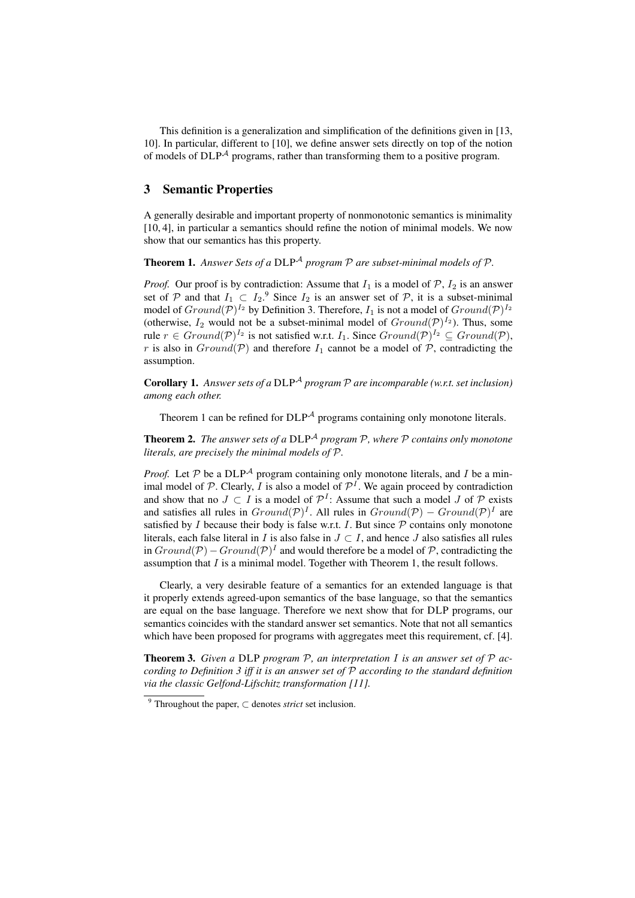This definition is a generalization and simplification of the definitions given in [13, 10]. In particular, different to [10], we define answer sets directly on top of the notion of models of  $DLP^{\mathcal{A}}$  programs, rather than transforming them to a positive program.

## **3 Semantic Properties**

A generally desirable and important property of nonmonotonic semantics is minimality [10, 4], in particular a semantics should refine the notion of minimal models. We now show that our semantics has this property.

**Theorem 1.** *Answer Sets of a* DLP <sup>A</sup> *program* P *are subset-minimal models of* P*.*

*Proof.* Our proof is by contradiction: Assume that  $I_1$  is a model of  $P$ ,  $I_2$  is an answer set of P and that  $I_1 \subset I_2$ .<sup>9</sup> Since  $I_2$  is an answer set of P, it is a subset-minimal model of  $Ground(\mathcal{P})^{I_2}$  by Definition 3. Therefore,  $I_1$  is not a model of  $Ground(\mathcal{P})^{I_2}$ (otherwise,  $I_2$  would not be a subset-minimal model of  $Ground(\mathcal{P})^{I_2}$ ). Thus, some rule  $r \in Ground(\mathcal{P})^{I_2}$  is not satisfied w.r.t.  $I_1$ . Since  $Ground(\mathcal{P})^{I_2} \subseteq Ground(\mathcal{P})$ , r is also in  $Ground(P)$  and therefore  $I_1$  cannot be a model of  $P$ , contradicting the assumption.

**Corollary 1.** *Answer sets of a* DLP <sup>A</sup> *program* P *are incomparable (w.r.t. set inclusion) among each other.*

Theorem 1 can be refined for  $DLP^{\mathcal{A}}$  programs containing only monotone literals.

**Theorem 2.** *The answer sets of a* DLP <sup>A</sup> *program* P*, where* P *contains only monotone literals, are precisely the minimal models of* P*.*

*Proof.* Let  $P$  be a DLP<sup>A</sup> program containing only monotone literals, and I be a minimal model of P. Clearly, I is also a model of  $\mathcal{P}^I$ . We again proceed by contradiction and show that no  $J \subset I$  is a model of  $\mathcal{P}^I$ : Assume that such a model J of  $\mathcal P$  exists and satisfies all rules in  $Ground(P)^{I}$ . All rules in  $Ground(P) - Ground(P)^{I}$  are satisfied by I because their body is false w.r.t. I. But since  $P$  contains only monotone literals, each false literal in I is also false in  $J \subset I$ , and hence J also satisfies all rules in  $Ground(\mathcal{P}) - Ground(\mathcal{P})^I$  and would therefore be a model of  $\mathcal{P}$ , contradicting the assumption that  $I$  is a minimal model. Together with Theorem 1, the result follows.

Clearly, a very desirable feature of a semantics for an extended language is that it properly extends agreed-upon semantics of the base language, so that the semantics are equal on the base language. Therefore we next show that for DLP programs, our semantics coincides with the standard answer set semantics. Note that not all semantics which have been proposed for programs with aggregates meet this requirement, cf. [4].

**Theorem 3.** *Given a* DLP *program* P*, an interpretation* I *is an answer set of* P *according to Definition 3 iff it is an answer set of* P *according to the standard definition via the classic Gelfond-Lifschitz transformation [11].*

<sup>9</sup> Throughout the paper, ⊂ denotes *strict* set inclusion.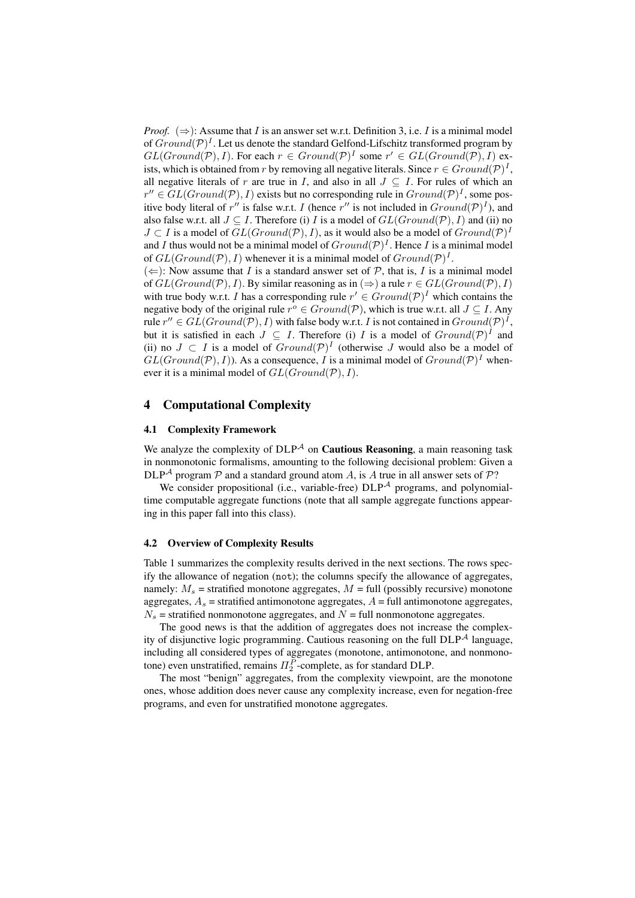*Proof.*  $(\Rightarrow)$ : Assume that I is an answer set w.r.t. Definition 3, i.e. I is a minimal model of  $Ground(P)^{I}$ . Let us denote the standard Gelfond-Lifschitz transformed program by  $GL(Ground(\mathcal{P}), I)$ . For each  $r \in Ground(\mathcal{P})^I$  some  $r' \in GL(Ground(\mathcal{P}), I)$  exists, which is obtained from r by removing all negative literals. Since  $r \in Ground(\mathcal{P})^I$ , all negative literals of r are true in I, and also in all  $J \subseteq I$ . For rules of which an  $r'' \in GL(Ground(\mathcal{P}), I)$  exists but no corresponding rule in  $Ground(\mathcal{P})^I$ , some positive body literal of  $r''$  is false w.r.t. I (hence  $r''$  is not included in  $Ground(\mathcal{P})^I$ ), and also false w.r.t. all  $J \subseteq I$ . Therefore (i) I is a model of  $GL(Ground(\mathcal{P}), I)$  and (ii) no  $J \subset I$  is a model of  $GL(Ground(\mathcal{P}), I)$ , as it would also be a model of  $Ground(\mathcal{P})^I$ and I thus would not be a minimal model of  $Ground(\mathcal{P})^I$ . Hence I is a minimal model of  $GL(Ground(\mathcal{P}), I)$  whenever it is a minimal model of  $Ground(\mathcal{P})^I$ .  $(\Leftarrow)$ : Now assume that I is a standard answer set of P, that is, I is a minimal model of  $GL(Ground(\mathcal{P}), I)$ . By similar reasoning as in  $(\Rightarrow)$  a rule  $r \in GL(Ground(\mathcal{P}), I)$ with true body w.r.t. I has a corresponding rule  $r' \in Ground(\mathcal{P})^I$  which contains the negative body of the original rule  $r^{\circ} \in Ground(\mathcal{P})$ , which is true w.r.t. all  $J \subseteq I$ . Any rule  $r'' \in GL(Ground(\mathcal{P}), I)$  with false body w.r.t. I is not contained in  $Ground(\mathcal{P})^I$ , but it is satisfied in each  $J \subseteq I$ . Therefore (i) I is a model of  $Ground(P)^{I}$  and (ii) no  $J \subset I$  is a model of  $Ground(\mathcal{P})^I$  (otherwise J would also be a model of  $GL(Ground(\mathcal{P}), I))$ . As a consequence, I is a minimal model of  $Ground(\mathcal{P})^I$  when-

## **4 Computational Complexity**

ever it is a minimal model of  $GL(Ground(\mathcal{P}), I)$ .

#### **4.1 Complexity Framework**

We analyze the complexity of DLP <sup>A</sup> on **Cautious Reasoning**, a main reasoning task in nonmonotonic formalisms, amounting to the following decisional problem: Given a DLP<sup>A</sup> program  $P$  and a standard ground atom A, is A true in all answer sets of  $P$ ?

We consider propositional (i.e., variable-free)  $DLP^{\mathcal{A}}$  programs, and polynomialtime computable aggregate functions (note that all sample aggregate functions appearing in this paper fall into this class).

#### **4.2 Overview of Complexity Results**

Table 1 summarizes the complexity results derived in the next sections. The rows specify the allowance of negation (not); the columns specify the allowance of aggregates, namely:  $M_s$  = stratified monotone aggregates,  $M$  = full (possibly recursive) monotone aggregates,  $A_s$  = stratified antimonotone aggregates,  $A$  = full antimonotone aggregates,  $N<sub>s</sub>$  = stratified nonmonotone aggregates, and  $N$  = full nonmonotone aggregates.

The good news is that the addition of aggregates does not increase the complexity of disjunctive logic programming. Cautious reasoning on the full DLP <sup>A</sup> language, including all considered types of aggregates (monotone, antimonotone, and nonmonotone) even unstratified, remains  $\Pi_2^P$ -complete, as for standard DLP.

The most "benign" aggregates, from the complexity viewpoint, are the monotone ones, whose addition does never cause any complexity increase, even for negation-free programs, and even for unstratified monotone aggregates.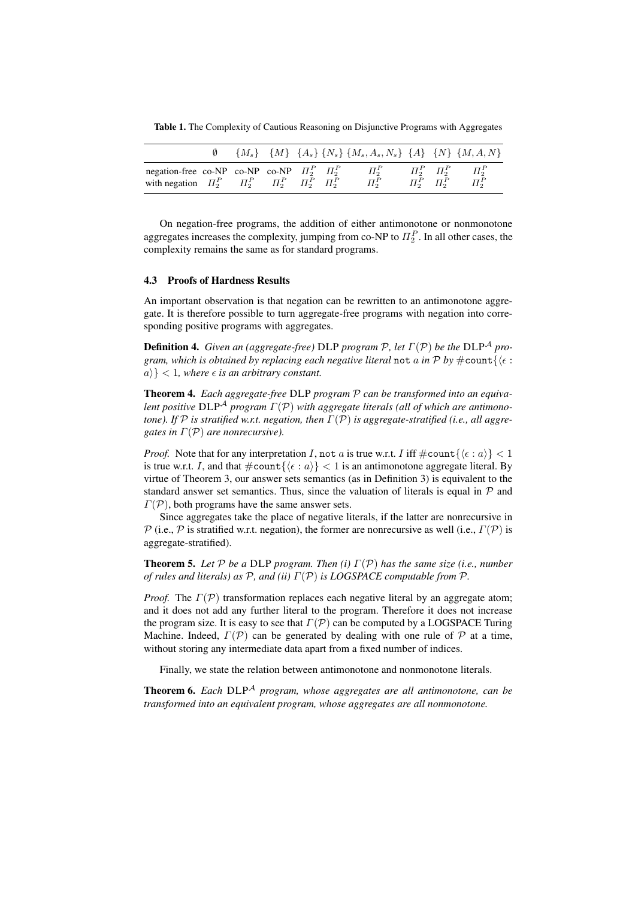**Table 1.** The Complexity of Cautious Reasoning on Disjunctive Programs with Aggregates

|                                                                                                                        |  |  | ${M_s}$ ${M}$ ${A_s}$ ${N_s}$ ${M_s, A_s, N_s}$ ${A}$ ${N}$ ${M, A, N}$ |           |                                  |                        |
|------------------------------------------------------------------------------------------------------------------------|--|--|-------------------------------------------------------------------------|-----------|----------------------------------|------------------------|
| negation-free co-NP co-NP co-NP $\Pi_2^P$ $\Pi_2^P$<br>with negation $\Pi_2^P$ $\Pi_2^P$ $\Pi_2^P$ $\Pi_2^P$ $\Pi_2^P$ |  |  | $\Pi_2^F$<br>$\Pi^P_2$                                                  | $\Pi_2^P$ | $\Pi_2^P$ $\Pi_2^P$<br>$\Pi_2^P$ | $\Pi_2^F$<br>$\Pi^P_2$ |

On negation-free programs, the addition of either antimonotone or nonmonotone aggregates increases the complexity, jumping from co-NP to  $\Pi_2^P$ . In all other cases, the complexity remains the same as for standard programs.

#### **4.3 Proofs of Hardness Results**

An important observation is that negation can be rewritten to an antimonotone aggregate. It is therefore possible to turn aggregate-free programs with negation into corresponding positive programs with aggregates.

**Definition 4.** *Given an (aggregate-free)* DLP *program* P*, let* Γ(P) *be the* DLP <sup>A</sup> *program, which is obtained by replacing each negative literal not a in*  $\mathcal{P}$  *by*  $\#\text{count}\{\langle \epsilon :$  $|a\rangle$ } < 1, where  $\epsilon$  *is an arbitrary constant.* 

**Theorem 4.** *Each aggregate-free* DLP *program* P *can be transformed into an equivalent positive* DLP <sup>A</sup> *program* Γ(P) *with aggregate literals (all of which are antimonotone*). If P is stratified w.r.t. negation, then  $\Gamma(\mathcal{P})$  is aggregate-stratified (i.e., all aggre*gates in* Γ(P) *are nonrecursive).*

*Proof.* Note that for any interpretation I, not a is true w.r.t. I iff  $\#\text{count}\{\langle \epsilon : a \rangle\} < 1$ is true w.r.t. I, and that  $\#\text{count}\{\langle \epsilon : a \rangle\} < 1$  is an antimonotone aggregate literal. By virtue of Theorem 3, our answer sets semantics (as in Definition 3) is equivalent to the standard answer set semantics. Thus, since the valuation of literals is equal in  $P$  and  $\Gamma(\mathcal{P})$ , both programs have the same answer sets.

Since aggregates take the place of negative literals, if the latter are nonrecursive in P (i.e., P is stratified w.r.t. negation), the former are nonrecursive as well (i.e.,  $\Gamma(\mathcal{P})$  is aggregate-stratified).

**Theorem 5.** Let  $P$  be a DLP program. Then (i)  $\Gamma(P)$  has the same size (i.e., number *of rules and literals) as* P*, and (ii)* Γ(P) *is LOGSPACE computable from* P*.*

*Proof.* The  $\Gamma(\mathcal{P})$  transformation replaces each negative literal by an aggregate atom; and it does not add any further literal to the program. Therefore it does not increase the program size. It is easy to see that  $\Gamma(\mathcal{P})$  can be computed by a LOGSPACE Turing Machine. Indeed,  $\Gamma(\mathcal{P})$  can be generated by dealing with one rule of  $\mathcal P$  at a time, without storing any intermediate data apart from a fixed number of indices.

Finally, we state the relation between antimonotone and nonmonotone literals.

**Theorem 6.** *Each* DLP <sup>A</sup> *program, whose aggregates are all antimonotone, can be transformed into an equivalent program, whose aggregates are all nonmonotone.*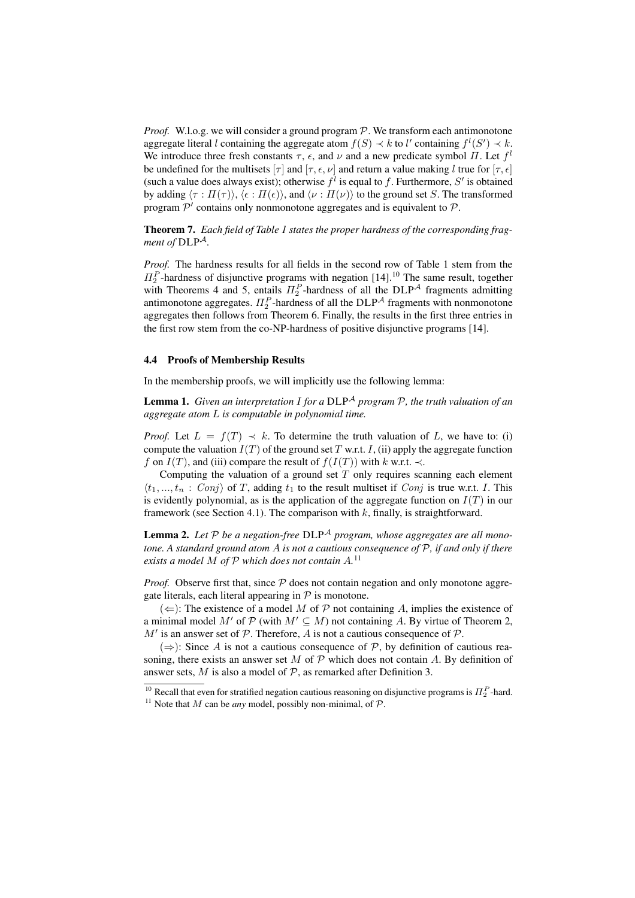*Proof.* W.l.o.g. we will consider a ground program  $P$ . We transform each antimonotone aggregate literal l containing the aggregate atom  $f(S) \prec k$  to l' containing  $f^l(S') \prec k$ . We introduce three fresh constants  $\tau$ ,  $\epsilon$ , and  $\nu$  and a new predicate symbol  $\Pi$ . Let  $f^l$ be undefined for the multisets  $[\tau]$  and  $[\tau, \epsilon, \nu]$  and return a value making l true for  $[\tau, \epsilon]$ (such a value does always exist); otherwise  $f^{\dagger}$  is equal to f. Furthermore, S' is obtained by adding  $\langle \tau : \Pi(\tau) \rangle$ ,  $\langle \epsilon : \Pi(\epsilon) \rangle$ , and  $\langle \nu : \Pi(\nu) \rangle$  to the ground set S. The transformed program  $\mathcal{P}'$  contains only nonmonotone aggregates and is equivalent to  $\mathcal{P}$ .

**Theorem 7.** *Each field of Table 1 states the proper hardness of the corresponding fragment of* DLP A*.*

*Proof.* The hardness results for all fields in the second row of Table 1 stem from the  $\Pi_2^P$ -hardness of disjunctive programs with negation [14].<sup>10</sup> The same result, together with Theorems 4 and 5, entails  $\Pi_2^P$ -hardness of all the DLP<sup>A</sup> fragments admitting antimonotone aggregates.  $\Pi_2^P$ -hardness of all the DLP<sup>A</sup> fragments with nonmonotone aggregates then follows from Theorem 6. Finally, the results in the first three entries in the first row stem from the co-NP-hardness of positive disjunctive programs [14].

#### **4.4 Proofs of Membership Results**

In the membership proofs, we will implicitly use the following lemma:

**Lemma 1.** *Given an interpretation* I *for a* DLP <sup>A</sup> *program* P*, the truth valuation of an aggregate atom* L *is computable in polynomial time.*

*Proof.* Let  $L = f(T) \prec k$ . To determine the truth valuation of L, we have to: (i) compute the valuation  $I(T)$  of the ground set T w.r.t. I, (ii) apply the aggregate function f on  $I(T)$ , and (iii) compare the result of  $f(I(T))$  with k w.r.t.  $\prec$ .

Computing the valuation of a ground set  $T$  only requires scanning each element  $\langle t_1, ..., t_n : Con \rangle$  of T, adding  $t_1$  to the result multiset if Conj is true w.r.t. I. This is evidently polynomial, as is the application of the aggregate function on  $I(T)$  in our framework (see Section 4.1). The comparison with  $k$ , finally, is straightforward.

**Lemma 2.** *Let* P *be a negation-free* DLP <sup>A</sup> *program, whose aggregates are all monotone. A standard ground atom* A *is not a cautious consequence of* P*, if and only if there exists a model* M *of* P *which does not contain* A*.* 11

*Proof.* Observe first that, since  $P$  does not contain negation and only monotone aggregate literals, each literal appearing in  $\mathcal P$  is monotone.

 $(\Leftarrow)$ : The existence of a model M of P not containing A, implies the existence of a minimal model M' of P (with  $M' \subseteq M$ ) not containing A. By virtue of Theorem 2,  $M'$  is an answer set of  $P$ . Therefore,  $A$  is not a cautious consequence of  $P$ .

 $(\Rightarrow)$ : Since A is not a cautious consequence of P, by definition of cautious reasoning, there exists an answer set  $M$  of  $P$  which does not contain  $A$ . By definition of answer sets,  $M$  is also a model of  $P$ , as remarked after Definition 3.

<sup>&</sup>lt;sup>10</sup> Recall that even for stratified negation cautious reasoning on disjunctive programs is  $\Pi_2^P$ -hard.

<sup>&</sup>lt;sup>11</sup> Note that M can be *any* model, possibly non-minimal, of P.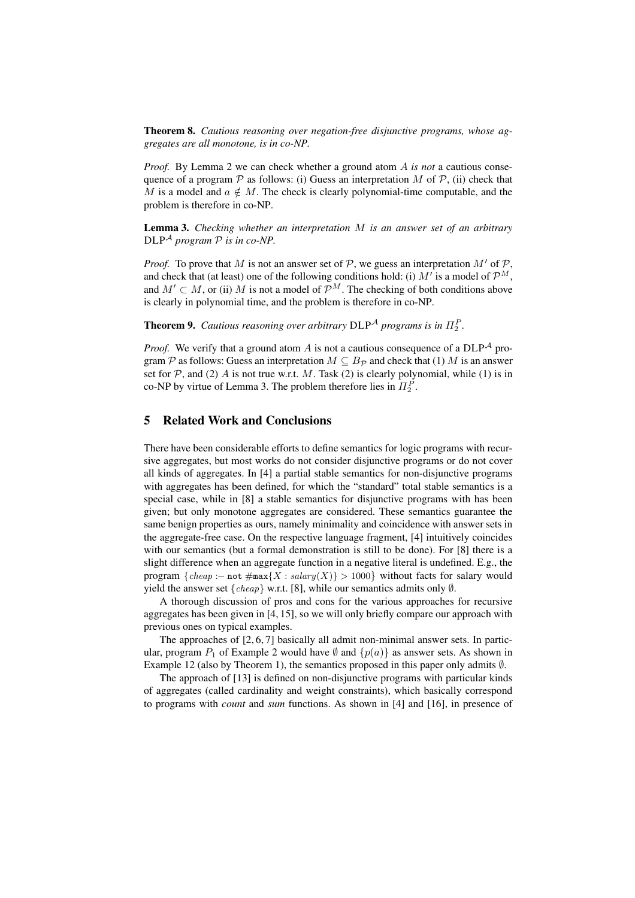**Theorem 8.** *Cautious reasoning over negation-free disjunctive programs, whose aggregates are all monotone, is in co-NP.*

*Proof.* By Lemma 2 we can check whether a ground atom A *is not* a cautious consequence of a program  $P$  as follows: (i) Guess an interpretation M of  $P$ , (ii) check that M is a model and  $a \notin M$ . The check is clearly polynomial-time computable, and the problem is therefore in co-NP.

**Lemma 3.** *Checking whether an interpretation* M *is an answer set of an arbitrary* DLP <sup>A</sup> *program* P *is in co-NP.*

*Proof.* To prove that M is not an answer set of P, we guess an interpretation  $M'$  of P, and check that (at least) one of the following conditions hold: (i)  $M'$  is a model of  $\mathcal{P}^M$ , and  $M' \subset M$ , or (ii) M is not a model of  $\mathcal{P}^M$ . The checking of both conditions above is clearly in polynomial time, and the problem is therefore in co-NP.

**Theorem 9.** *Cautious reasoning over arbitrary*  $DLP^{\mathcal{A}}$  *programs is in*  $\Pi_2^P$ *.* 

*Proof.* We verify that a ground atom  $A$  is not a cautious consequence of a  $DLP^{\mathcal{A}}$  program P as follows: Guess an interpretation  $M \subseteq B_{\mathcal{P}}$  and check that (1) M is an answer set for  $P$ , and (2) A is not true w.r.t. M. Task (2) is clearly polynomial, while (1) is in co-NP by virtue of Lemma 3. The problem therefore lies in  $\Pi_2^P$ .

## **5 Related Work and Conclusions**

There have been considerable efforts to define semantics for logic programs with recursive aggregates, but most works do not consider disjunctive programs or do not cover all kinds of aggregates. In [4] a partial stable semantics for non-disjunctive programs with aggregates has been defined, for which the "standard" total stable semantics is a special case, while in [8] a stable semantics for disjunctive programs with has been given; but only monotone aggregates are considered. These semantics guarantee the same benign properties as ours, namely minimality and coincidence with answer sets in the aggregate-free case. On the respective language fragment, [4] intuitively coincides with our semantics (but a formal demonstration is still to be done). For [8] there is a slight difference when an aggregate function in a negative literal is undefined. E.g., the program {cheap :- not  $\#\max\{X : salary(X)\} > 1000$ } without facts for salary would yield the answer set  ${cheap}$  w.r.t. [8], while our semantics admits only  $\emptyset$ .

A thorough discussion of pros and cons for the various approaches for recursive aggregates has been given in [4, 15], so we will only briefly compare our approach with previous ones on typical examples.

The approaches of [2, 6, 7] basically all admit non-minimal answer sets. In particular, program  $P_1$  of Example 2 would have  $\emptyset$  and  $\{p(a)\}\$ as answer sets. As shown in Example 12 (also by Theorem 1), the semantics proposed in this paper only admits ∅.

The approach of [13] is defined on non-disjunctive programs with particular kinds of aggregates (called cardinality and weight constraints), which basically correspond to programs with *count* and *sum* functions. As shown in [4] and [16], in presence of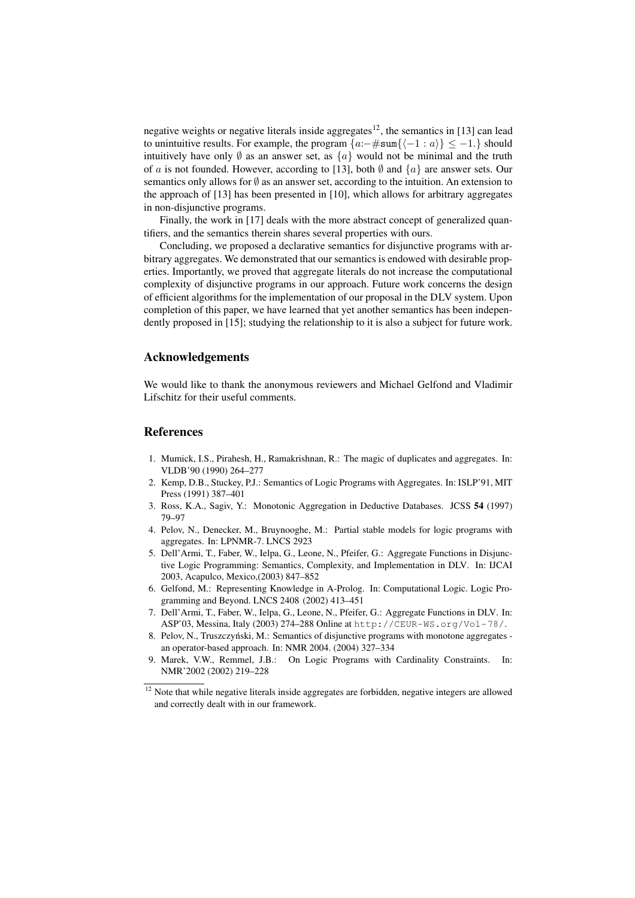negative weights or negative literals inside aggregates<sup>12</sup>, the semantics in [13] can lead to unintuitive results. For example, the program  $\{a:-\#\text{sum}\{\langle-1 : a \rangle\} \leq -1.\}$  should intuitively have only  $\emptyset$  as an answer set, as  $\{a\}$  would not be minimal and the truth of a is not founded. However, according to [13], both  $\emptyset$  and  $\{a\}$  are answer sets. Our semantics only allows for  $\emptyset$  as an answer set, according to the intuition. An extension to the approach of [13] has been presented in [10], which allows for arbitrary aggregates in non-disjunctive programs.

Finally, the work in [17] deals with the more abstract concept of generalized quantifiers, and the semantics therein shares several properties with ours.

Concluding, we proposed a declarative semantics for disjunctive programs with arbitrary aggregates. We demonstrated that our semantics is endowed with desirable properties. Importantly, we proved that aggregate literals do not increase the computational complexity of disjunctive programs in our approach. Future work concerns the design of efficient algorithms for the implementation of our proposal in the DLV system. Upon completion of this paper, we have learned that yet another semantics has been independently proposed in [15]; studying the relationship to it is also a subject for future work.

## **Acknowledgements**

We would like to thank the anonymous reviewers and Michael Gelfond and Vladimir Lifschitz for their useful comments.

## **References**

- 1. Mumick, I.S., Pirahesh, H., Ramakrishnan, R.: The magic of duplicates and aggregates. In: VLDB'90 (1990) 264–277
- 2. Kemp, D.B., Stuckey, P.J.: Semantics of Logic Programs with Aggregates. In: ISLP'91, MIT Press (1991) 387–401
- 3. Ross, K.A., Sagiv, Y.: Monotonic Aggregation in Deductive Databases. JCSS **54** (1997) 79–97
- 4. Pelov, N., Denecker, M., Bruynooghe, M.: Partial stable models for logic programs with aggregates. In: LPNMR-7. LNCS 2923
- 5. Dell'Armi, T., Faber, W., Ielpa, G., Leone, N., Pfeifer, G.: Aggregate Functions in Disjunctive Logic Programming: Semantics, Complexity, and Implementation in DLV. In: IJCAI 2003, Acapulco, Mexico,(2003) 847–852
- 6. Gelfond, M.: Representing Knowledge in A-Prolog. In: Computational Logic. Logic Programming and Beyond. LNCS 2408 (2002) 413–451
- 7. Dell'Armi, T., Faber, W., Ielpa, G., Leone, N., Pfeifer, G.: Aggregate Functions in DLV. In: ASP'03, Messina, Italy (2003) 274–288 Online at http://CEUR-WS.org/Vol-78/.
- 8. Pelov, N., Truszczyński, M.: Semantics of disjunctive programs with monotone aggregates an operator-based approach. In: NMR 2004. (2004) 327–334
- 9. Marek, V.W., Remmel, J.B.: On Logic Programs with Cardinality Constraints. In: NMR'2002 (2002) 219–228

<sup>&</sup>lt;sup>12</sup> Note that while negative literals inside aggregates are forbidden, negative integers are allowed and correctly dealt with in our framework.